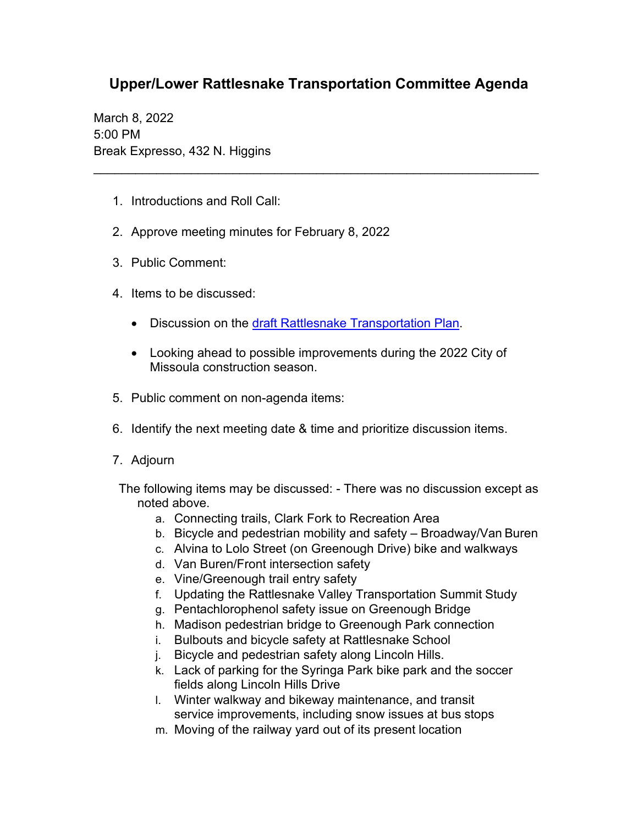## **Upper/Lower Rattlesnake Transportation Committee Agenda**

\_\_\_\_\_\_\_\_\_\_\_\_\_\_\_\_\_\_\_\_\_\_\_\_\_\_\_\_\_\_\_\_\_\_\_\_\_\_\_\_\_\_\_\_\_\_\_\_\_\_\_\_\_\_\_\_\_\_\_\_\_\_\_\_

March 8, 2022 5:00 PM Break Expresso, 432 N. Higgins

- 1. Introductions and Roll Call:
- 2. Approve meeting minutes for February 8, 2022
- 3. Public Comment:
- 4. Items to be discussed:
	- Discussion on the [draft Rattlesnake Transportation Plan.](https://www.ci.missoula.mt.us/DocumentCenter/View/60150/2022-Draft-Rattlesnake-Transportation-Plan)
	- Looking ahead to possible improvements during the 2022 City of Missoula construction season.
- 5. Public comment on non-agenda items:
- 6. Identify the next meeting date & time and prioritize discussion items.
- 7. Adjourn
- The following items may be discussed: There was no discussion except as noted above.
	- a. Connecting trails, Clark Fork to Recreation Area
	- b. Bicycle and pedestrian mobility and safety Broadway/Van Buren
	- c. Alvina to Lolo Street (on Greenough Drive) bike and walkways
	- d. Van Buren/Front intersection safety
	- e. Vine/Greenough trail entry safety
	- f. Updating the Rattlesnake Valley Transportation Summit Study
	- g. Pentachlorophenol safety issue on Greenough Bridge
	- h. Madison pedestrian bridge to Greenough Park connection
	- i. Bulbouts and bicycle safety at Rattlesnake School
	- j. Bicycle and pedestrian safety along Lincoln Hills.
	- k. Lack of parking for the Syringa Park bike park and the soccer fields along Lincoln Hills Drive
	- l. Winter walkway and bikeway maintenance, and transit service improvements, including snow issues at bus stops
	- m. Moving of the railway yard out of its present location